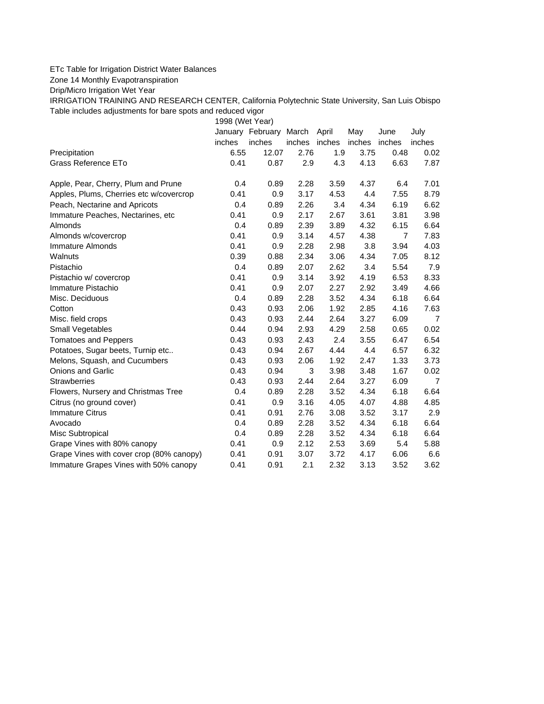## ETc Table for Irrigation District Water Balances

Zone 14 Monthly Evapotranspiration

Drip/Micro Irrigation Wet Year

IRRIGATION TRAINING AND RESEARCH CENTER, California Polytechnic State University, San Luis Obispo Table includes adjustments for bare spots and reduced vigor

1998 (Wet Year)

|                                          |        | January February March |        | April  | May    | June           | July           |
|------------------------------------------|--------|------------------------|--------|--------|--------|----------------|----------------|
|                                          | inches | inches                 | inches | inches | inches | inches         | inches         |
| Precipitation                            | 6.55   | 12.07                  | 2.76   | 1.9    | 3.75   | 0.48           | 0.02           |
| Grass Reference ETo                      | 0.41   | 0.87                   | 2.9    | 4.3    | 4.13   | 6.63           | 7.87           |
| Apple, Pear, Cherry, Plum and Prune      | 0.4    | 0.89                   | 2.28   | 3.59   | 4.37   | 6.4            | 7.01           |
| Apples, Plums, Cherries etc w/covercrop  | 0.41   | 0.9                    | 3.17   | 4.53   | 4.4    | 7.55           | 8.79           |
| Peach, Nectarine and Apricots            | 0.4    | 0.89                   | 2.26   | 3.4    | 4.34   | 6.19           | 6.62           |
| Immature Peaches, Nectarines, etc        | 0.41   | 0.9                    | 2.17   | 2.67   | 3.61   | 3.81           | 3.98           |
| Almonds                                  | 0.4    | 0.89                   | 2.39   | 3.89   | 4.32   | 6.15           | 6.64           |
| Almonds w/covercrop                      | 0.41   | 0.9                    | 3.14   | 4.57   | 4.38   | $\overline{7}$ | 7.83           |
| Immature Almonds                         | 0.41   | 0.9                    | 2.28   | 2.98   | 3.8    | 3.94           | 4.03           |
| Walnuts                                  | 0.39   | 0.88                   | 2.34   | 3.06   | 4.34   | 7.05           | 8.12           |
| Pistachio                                | 0.4    | 0.89                   | 2.07   | 2.62   | 3.4    | 5.54           | 7.9            |
| Pistachio w/ covercrop                   | 0.41   | 0.9                    | 3.14   | 3.92   | 4.19   | 6.53           | 8.33           |
| Immature Pistachio                       | 0.41   | 0.9                    | 2.07   | 2.27   | 2.92   | 3.49           | 4.66           |
| Misc. Deciduous                          | 0.4    | 0.89                   | 2.28   | 3.52   | 4.34   | 6.18           | 6.64           |
| Cotton                                   | 0.43   | 0.93                   | 2.06   | 1.92   | 2.85   | 4.16           | 7.63           |
| Misc. field crops                        | 0.43   | 0.93                   | 2.44   | 2.64   | 3.27   | 6.09           | $\overline{7}$ |
| <b>Small Vegetables</b>                  | 0.44   | 0.94                   | 2.93   | 4.29   | 2.58   | 0.65           | 0.02           |
| <b>Tomatoes and Peppers</b>              | 0.43   | 0.93                   | 2.43   | 2.4    | 3.55   | 6.47           | 6.54           |
| Potatoes, Sugar beets, Turnip etc        | 0.43   | 0.94                   | 2.67   | 4.44   | 4.4    | 6.57           | 6.32           |
| Melons, Squash, and Cucumbers            | 0.43   | 0.93                   | 2.06   | 1.92   | 2.47   | 1.33           | 3.73           |
| <b>Onions and Garlic</b>                 | 0.43   | 0.94                   | 3      | 3.98   | 3.48   | 1.67           | 0.02           |
| <b>Strawberries</b>                      | 0.43   | 0.93                   | 2.44   | 2.64   | 3.27   | 6.09           | $\overline{7}$ |
| Flowers, Nursery and Christmas Tree      | 0.4    | 0.89                   | 2.28   | 3.52   | 4.34   | 6.18           | 6.64           |
| Citrus (no ground cover)                 | 0.41   | 0.9                    | 3.16   | 4.05   | 4.07   | 4.88           | 4.85           |
| <b>Immature Citrus</b>                   | 0.41   | 0.91                   | 2.76   | 3.08   | 3.52   | 3.17           | 2.9            |
| Avocado                                  | 0.4    | 0.89                   | 2.28   | 3.52   | 4.34   | 6.18           | 6.64           |
| Misc Subtropical                         | 0.4    | 0.89                   | 2.28   | 3.52   | 4.34   | 6.18           | 6.64           |
| Grape Vines with 80% canopy              | 0.41   | 0.9                    | 2.12   | 2.53   | 3.69   | 5.4            | 5.88           |
| Grape Vines with cover crop (80% canopy) | 0.41   | 0.91                   | 3.07   | 3.72   | 4.17   | 6.06           | 6.6            |
| Immature Grapes Vines with 50% canopy    | 0.41   | 0.91                   | 2.1    | 2.32   | 3.13   | 3.52           | 3.62           |